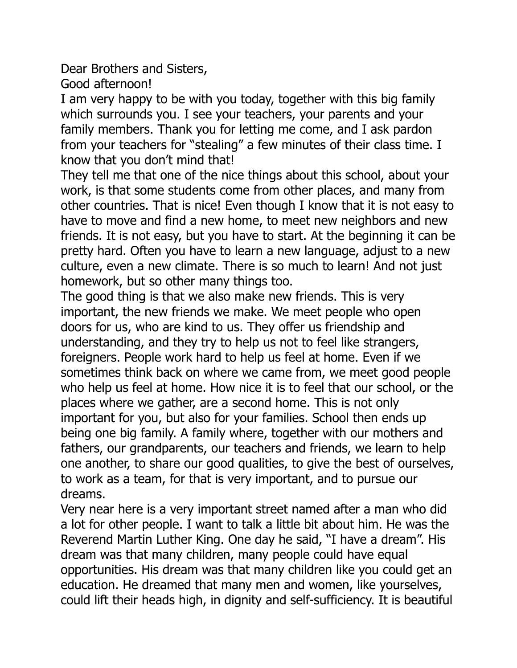Dear Brothers and Sisters,

Good afternoon!

I am very happy to be with you today, together with this big family which surrounds you. I see your teachers, your parents and your family members. Thank you for letting me come, and I ask pardon from your teachers for "stealing" a few minutes of their class time. I know that you don't mind that!

They tell me that one of the nice things about this school, about your work, is that some students come from other places, and many from other countries. That is nice! Even though I know that it is not easy to have to move and find a new home, to meet new neighbors and new friends. It is not easy, but you have to start. At the beginning it can be pretty hard. Often you have to learn a new language, adjust to a new culture, even a new climate. There is so much to learn! And not just homework, but so other many things too.

The good thing is that we also make new friends. This is very important, the new friends we make. We meet people who open doors for us, who are kind to us. They offer us friendship and understanding, and they try to help us not to feel like strangers, foreigners. People work hard to help us feel at home. Even if we sometimes think back on where we came from, we meet good people who help us feel at home. How nice it is to feel that our school, or the places where we gather, are a second home. This is not only important for you, but also for your families. School then ends up being one big family. A family where, together with our mothers and fathers, our grandparents, our teachers and friends, we learn to help one another, to share our good qualities, to give the best of ourselves, to work as a team, for that is very important, and to pursue our dreams.

Very near here is a very important street named after a man who did a lot for other people. I want to talk a little bit about him. He was the Reverend Martin Luther King. One day he said, "I have a dream". His dream was that many children, many people could have equal opportunities. His dream was that many children like you could get an education. He dreamed that many men and women, like yourselves, could lift their heads high, in dignity and self-sufficiency. It is beautiful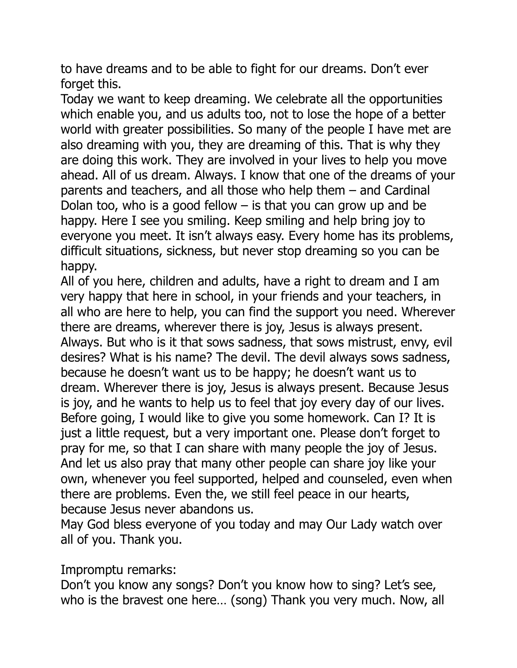to have dreams and to be able to fight for our dreams. Don't ever forget this.

Today we want to keep dreaming. We celebrate all the opportunities which enable you, and us adults too, not to lose the hope of a better world with greater possibilities. So many of the people I have met are also dreaming with you, they are dreaming of this. That is why they are doing this work. They are involved in your lives to help you move ahead. All of us dream. Always. I know that one of the dreams of your parents and teachers, and all those who help them – and Cardinal Dolan too, who is a good fellow  $-$  is that you can grow up and be happy. Here I see you smiling. Keep smiling and help bring joy to everyone you meet. It isn't always easy. Every home has its problems, difficult situations, sickness, but never stop dreaming so you can be happy.

All of you here, children and adults, have a right to dream and I am very happy that here in school, in your friends and your teachers, in all who are here to help, you can find the support you need. Wherever there are dreams, wherever there is joy, Jesus is always present. Always. But who is it that sows sadness, that sows mistrust, envy, evil desires? What is his name? The devil. The devil always sows sadness, because he doesn't want us to be happy; he doesn't want us to dream. Wherever there is joy, Jesus is always present. Because Jesus is joy, and he wants to help us to feel that joy every day of our lives. Before going, I would like to give you some homework. Can I? It is just a little request, but a very important one. Please don't forget to pray for me, so that I can share with many people the joy of Jesus. And let us also pray that many other people can share joy like your own, whenever you feel supported, helped and counseled, even when there are problems. Even the, we still feel peace in our hearts, because Jesus never abandons us.

May God bless everyone of you today and may Our Lady watch over all of you. Thank you.

Impromptu remarks:

Don't you know any songs? Don't you know how to sing? Let's see, who is the bravest one here… (song) Thank you very much. Now, all